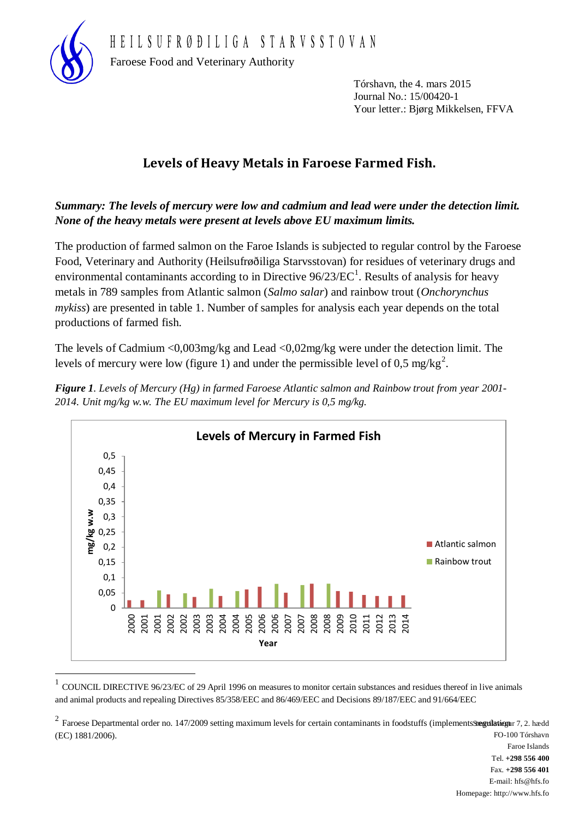Faroese Food and Veterinary Authority



Tórshavn, the 4. mars 2015 Journal No.: 15/00420-1 Your letter.: Bjørg Mikkelsen, FFVA

## **Levels of Heavy Metals in Faroese Farmed Fish.**

*Summary: The levels of mercury were low and cadmium and lead were under the detection limit. None of the heavy metals were present at levels above EU maximum limits.*

The production of farmed salmon on the Faroe Islands is subjected to regular control by the Faroese Food, Veterinary and Authority (Heilsufrøðiliga Starvsstovan) for residues of veterinary drugs and environmental contaminants according to in Directive  $96/23/EC<sup>1</sup>$ . Results of analysis for heavy metals in 789 samples from Atlantic salmon (*Salmo salar*) and rainbow trout (*Onchorynchus mykiss*) are presented in table 1. Number of samples for analysis each year depends on the total productions of farmed fish.

The levels of Cadmium <0,003mg/kg and Lead <0,02mg/kg were under the detection limit. The levels of mercury were low (figure 1) and under the permissible level of 0,5 mg/kg<sup>2</sup>.



*Figure 1. Levels of Mercury (Hg) in farmed Faroese Atlantic salmon and Rainbow trout from year 2001- 2014. Unit mg/kg w.w. The EU maximum level for Mercury is 0,5 mg/kg.*

<sup>1</sup> COUNCIL DIRECTIVE 96/23/EC of 29 April 1996 on measures to monitor certain substances and residues thereof in live animals and animal products and repealing Directives 85/358/EEC and 86/469/EEC and Decisions 89/187/EEC and 91/664/EEC

<sup>&</sup>lt;sup>2</sup> Faroese Departmental order no. 147/2009 setting maximum levels for certain contaminants in foodstuffs (implements **regulation** 7, 2. hædd FO-100 Tórshavn (EC) 1881/2006).